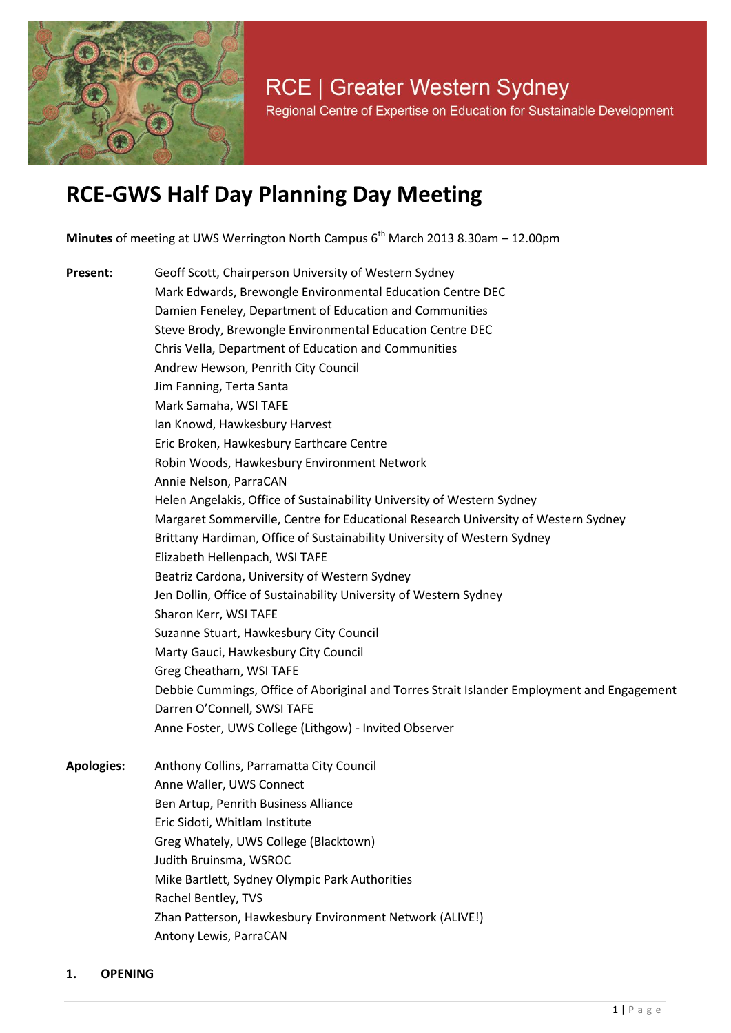

# **RCE-GWS Half Day Planning Day Meeting**

**Minutes** of meeting at UWS Werrington North Campus 6<sup>th</sup> March 2013 8.30am – 12.00pm

**Present**: Geoff Scott, Chairperson University of Western Sydney Mark Edwards, Brewongle Environmental Education Centre DEC Damien Feneley, Department of Education and Communities Steve Brody, Brewongle Environmental Education Centre DEC Chris Vella, Department of Education and Communities Andrew Hewson, Penrith City Council Jim Fanning, Terta Santa Mark Samaha, WSI TAFE Ian Knowd, Hawkesbury Harvest Eric Broken, Hawkesbury Earthcare Centre Robin Woods, Hawkesbury Environment Network Annie Nelson, ParraCAN Helen Angelakis, Office of Sustainability University of Western Sydney Margaret Sommerville, Centre for Educational Research University of Western Sydney Brittany Hardiman, Office of Sustainability University of Western Sydney Elizabeth Hellenpach, WSI TAFE Beatriz Cardona, University of Western Sydney Jen Dollin, Office of Sustainability University of Western Sydney Sharon Kerr, WSI TAFE Suzanne Stuart, Hawkesbury City Council Marty Gauci, Hawkesbury City Council Greg Cheatham, WSI TAFE Debbie Cummings, Office of Aboriginal and Torres Strait Islander Employment and Engagement Darren O'Connell, SWSI TAFE Anne Foster, UWS College (Lithgow) - Invited Observer **Apologies:** Anthony Collins, Parramatta City Council Anne Waller, UWS Connect Ben Artup, Penrith Business Alliance Eric Sidoti, Whitlam Institute

- Greg Whately, UWS College (Blacktown) Judith Bruinsma, WSROC Mike Bartlett, Sydney Olympic Park Authorities Rachel Bentley, TVS
	- Zhan Patterson, Hawkesbury Environment Network (ALIVE!) Antony Lewis, ParraCAN
- 

#### **1. OPENING**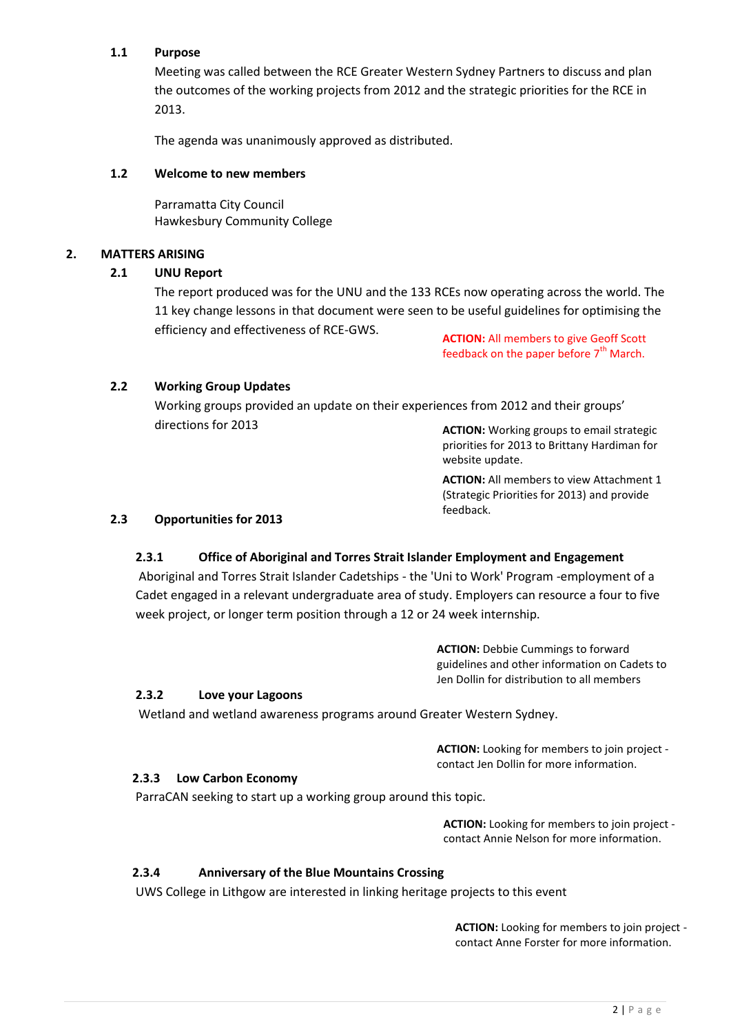# **1.1 Purpose**

Meeting was called between the RCE Greater Western Sydney Partners to discuss and plan the outcomes of the working projects from 2012 and the strategic priorities for the RCE in 2013.

The agenda was unanimously approved as distributed.

#### **1.2 Welcome to new members**

Parramatta City Council Hawkesbury Community College

#### **2. MATTERS ARISING**

#### **2.1 UNU Report**

The report produced was for the UNU and the 133 RCEs now operating across the world. The 11 key change lessons in that document were seen to be useful guidelines for optimising the efficiency and effectiveness of RCE-GWS.

**ACTION:** All members to give Geoff Scott feedback on the paper before  $7<sup>th</sup>$  March.

#### **2.2 Working Group Updates**

Working groups provided an update on their experiences from 2012 and their groups' directions for 2013

**ACTION:** Working groups to email strategic priorities for 2013 to Brittany Hardiman for website update.

**ACTION:** All members to view Attachment 1 (Strategic Priorities for 2013) and provide feedback.

#### **2.3 Opportunities for 2013**

#### **2.3.1 Office of Aboriginal and Torres Strait Islander Employment and Engagement**

Aboriginal and Torres Strait Islander Cadetships - the 'Uni to Work' Program -employment of a Cadet engaged in a relevant undergraduate area of study. Employers can resource a four to five week project, or longer term position through a 12 or 24 week internship.

> **ACTION:** Debbie Cummings to forward guidelines and other information on Cadets to Jen Dollin for distribution to all members

#### **2.3.2 Love your Lagoons**

Wetland and wetland awareness programs around Greater Western Sydney.

**ACTION:** Looking for members to join project contact Jen Dollin for more information.

#### **2.3.3 Low Carbon Economy**

ParraCAN seeking to start up a working group around this topic.

**ACTION:** Looking for members to join project contact Annie Nelson for more information.

#### **2.3.4 Anniversary of the Blue Mountains Crossing**

UWS College in Lithgow are interested in linking heritage projects to this event

**ACTION:** Looking for members to join project contact Anne Forster for more information.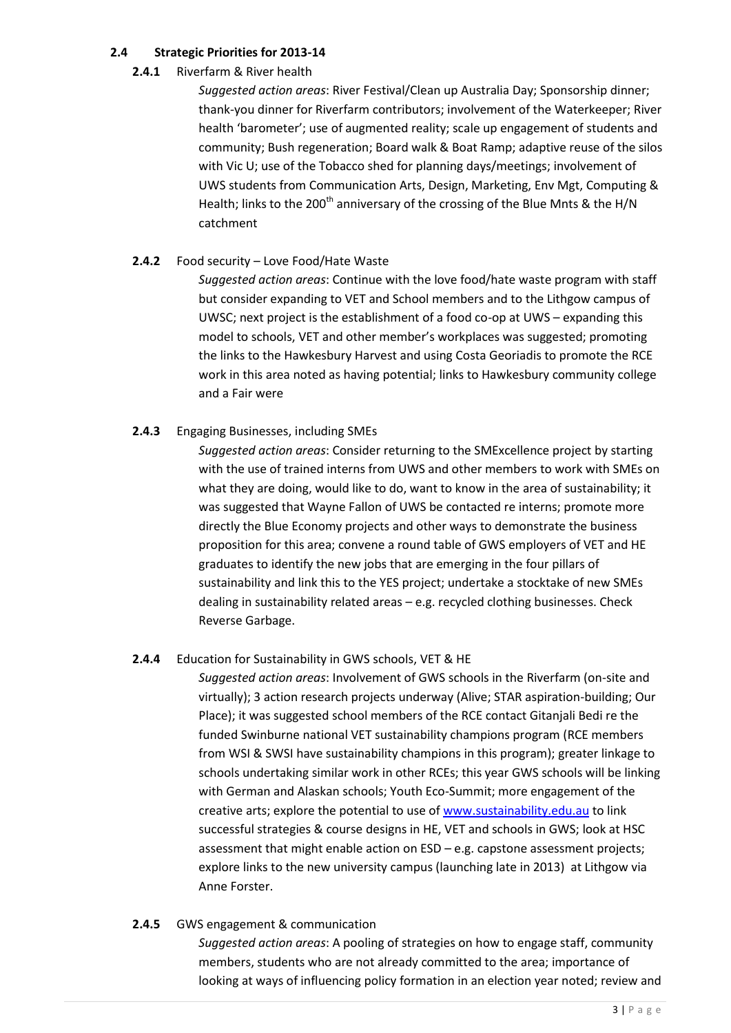# **2.4 Strategic Priorities for 2013-14**

### **2.4.1** Riverfarm & River health

*Suggested action areas*: River Festival/Clean up Australia Day; Sponsorship dinner; thank-you dinner for Riverfarm contributors; involvement of the Waterkeeper; River health 'barometer'; use of augmented reality; scale up engagement of students and community; Bush regeneration; Board walk & Boat Ramp; adaptive reuse of the silos with Vic U; use of the Tobacco shed for planning days/meetings; involvement of UWS students from Communication Arts, Design, Marketing, Env Mgt, Computing & Health; links to the 200<sup>th</sup> anniversary of the crossing of the Blue Mnts & the H/N catchment

# **2.4.2** Food security – Love Food/Hate Waste

*Suggested action areas*: Continue with the love food/hate waste program with staff but consider expanding to VET and School members and to the Lithgow campus of UWSC; next project is the establishment of a food co-op at UWS – expanding this model to schools, VET and other member's workplaces was suggested; promoting the links to the Hawkesbury Harvest and using Costa Georiadis to promote the RCE work in this area noted as having potential; links to Hawkesbury community college and a Fair were

# **2.4.3** Engaging Businesses, including SMEs

*Suggested action areas*: Consider returning to the SMExcellence project by starting with the use of trained interns from UWS and other members to work with SMEs on what they are doing, would like to do, want to know in the area of sustainability; it was suggested that Wayne Fallon of UWS be contacted re interns; promote more directly the Blue Economy projects and other ways to demonstrate the business proposition for this area; convene a round table of GWS employers of VET and HE graduates to identify the new jobs that are emerging in the four pillars of sustainability and link this to the YES project; undertake a stocktake of new SMEs dealing in sustainability related areas – e.g. recycled clothing businesses. Check Reverse Garbage.

# **2.4.4** Education for Sustainability in GWS schools, VET & HE

*Suggested action areas*: Involvement of GWS schools in the Riverfarm (on-site and virtually); 3 action research projects underway (Alive; STAR aspiration-building; Our Place); it was suggested school members of the RCE contact Gitanjali Bedi re the funded Swinburne national VET sustainability champions program (RCE members from WSI & SWSI have sustainability champions in this program); greater linkage to schools undertaking similar work in other RCEs; this year GWS schools will be linking with German and Alaskan schools; Youth Eco-Summit; more engagement of the creative arts; explore the potential to use of [www.sustainability.edu.au](http://www.sustainability.edu.au/) to link successful strategies & course designs in HE, VET and schools in GWS; look at HSC assessment that might enable action on ESD – e.g. capstone assessment projects; explore links to the new university campus (launching late in 2013) at Lithgow via Anne Forster.

# **2.4.5** GWS engagement & communication

*Suggested action areas*: A pooling of strategies on how to engage staff, community members, students who are not already committed to the area; importance of looking at ways of influencing policy formation in an election year noted; review and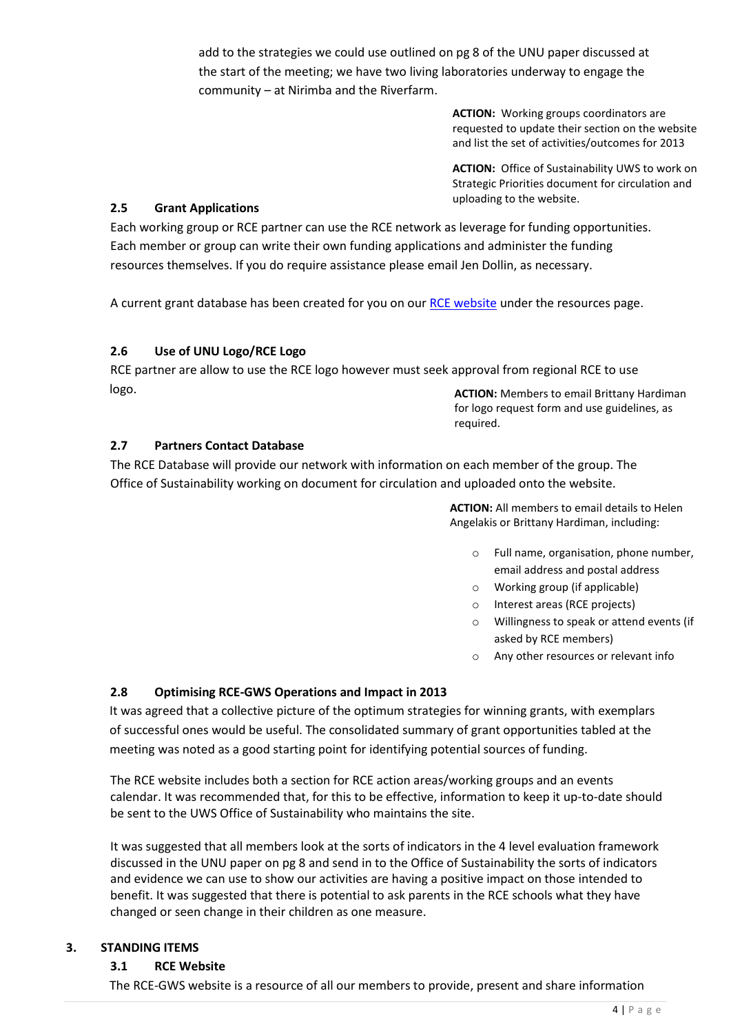add to the strategies we could use outlined on pg 8 of the UNU paper discussed at the start of the meeting; we have two living laboratories underway to engage the community – at Nirimba and the Riverfarm.

> **ACTION:** Working groups coordinators are requested to update their section on the website and list the set of activities/outcomes for 2013

> **ACTION:** Office of Sustainability UWS to work on Strategic Priorities document for circulation and uploading to the website.

### **2.5 Grant Applications**

Each working group or RCE partner can use the RCE network as leverage for funding opportunities. Each member or group can write their own funding applications and administer the funding resources themselves. If you do require assistance please email Jen Dollin, as necessary.

A current grant database has been created for you on our [RCE website](http://www.uws.edu.au/rce) under the resources page.

#### **2.6 Use of UNU Logo/RCE Logo**

RCE partner are allow to use the RCE logo however must seek approval from regional RCE to use logo.

**ACTION:** Members to email Brittany Hardiman for logo request form and use guidelines, as required.

#### **2.7 Partners Contact Database**

The RCE Database will provide our network with information on each member of the group. The Office of Sustainability working on document for circulation and uploaded onto the website.

> **ACTION:** All members to email details to Helen Angelakis or Brittany Hardiman, including:

- o Full name, organisation, phone number, email address and postal address
- o Working group (if applicable)
- o Interest areas (RCE projects)
- o Willingness to speak or attend events (if asked by RCE members)
- Any other resources or relevant info

# **2.8 Optimising RCE-GWS Operations and Impact in 2013**

It was agreed that a collective picture of the optimum strategies for winning grants, with exemplars of successful ones would be useful. The consolidated summary of grant opportunities tabled at the meeting was noted as a good starting point for identifying potential sources of funding.

The RCE website includes both a section for RCE action areas/working groups and an events calendar. It was recommended that, for this to be effective, information to keep it up-to-date should be sent to the UWS Office of Sustainability who maintains the site.

It was suggested that all members look at the sorts of indicators in the 4 level evaluation framework discussed in the UNU paper on pg 8 and send in to the Office of Sustainability the sorts of indicators and evidence we can use to show our activities are having a positive impact on those intended to benefit. It was suggested that there is potential to ask parents in the RCE schools what they have changed or seen change in their children as one measure.

# **3. STANDING ITEMS**

#### **3.1 RCE Website**

The RCE-GWS website is a resource of all our members to provide, present and share information